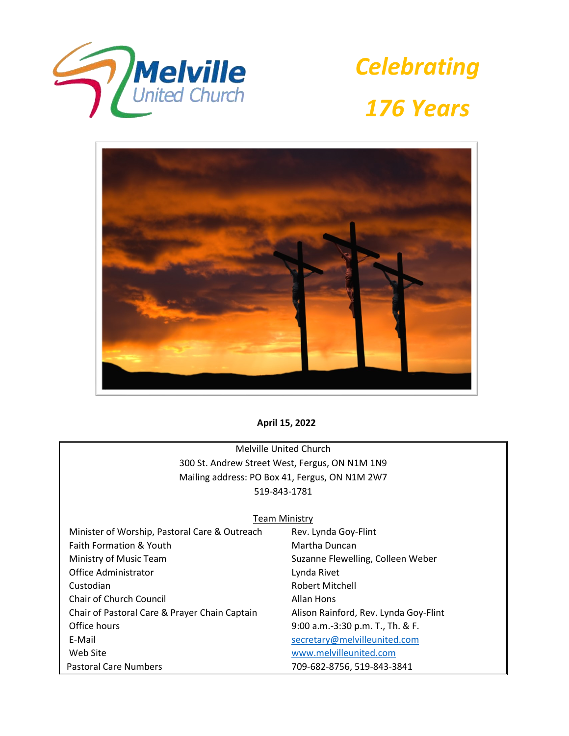

*Celebrating 176 Years*



**April 15, 2022**

Melville United Church 300 St. Andrew Street West, Fergus, ON N1M 1N9 Mailing address: PO Box 41, Fergus, ON N1M 2W7 519-843-1781

#### **Team Ministry**

| Minister of Worship, Pastoral Care & Outreach | Rev. Lynda Goy-Flint                  |
|-----------------------------------------------|---------------------------------------|
| Faith Formation & Youth                       | Martha Duncan                         |
| Ministry of Music Team                        | Suzanne Flewelling, Colleen Weber     |
| Office Administrator                          | Lynda Rivet                           |
| Custodian                                     | Robert Mitchell                       |
| <b>Chair of Church Council</b>                | Allan Hons                            |
| Chair of Pastoral Care & Prayer Chain Captain | Alison Rainford, Rev. Lynda Goy-Flint |
| Office hours                                  | 9:00 a.m.-3:30 p.m. T., Th. & F.      |
| E-Mail                                        | secretary@melvilleunited.com          |
| Web Site                                      | www.melvilleunited.com                |
| <b>Pastoral Care Numbers</b>                  | 709-682-8756, 519-843-3841            |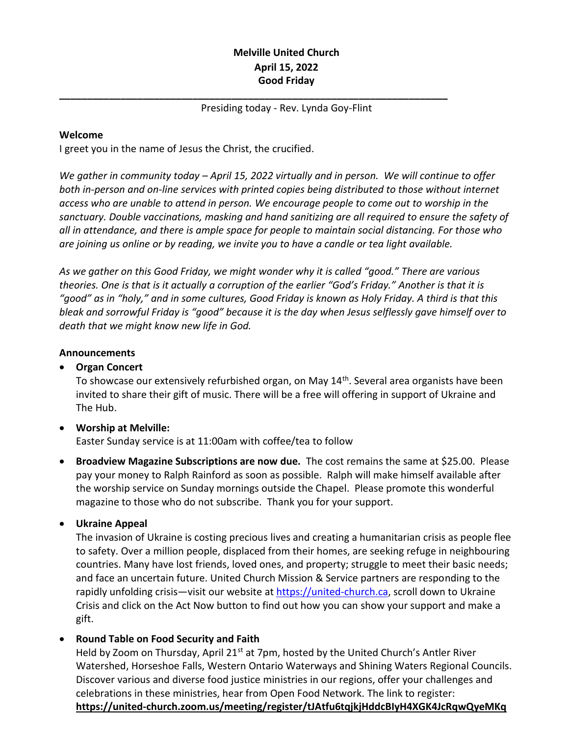## **Melville United Church April 15, 2022 Good Friday**

#### Presiding today - Rev. Lynda Goy-Flint

**\_\_\_\_\_\_\_\_\_\_\_\_\_\_\_\_\_\_\_\_\_\_\_\_\_\_\_\_\_\_\_\_\_\_\_\_\_\_\_\_\_\_\_\_\_\_\_\_\_\_\_\_\_\_\_\_\_\_\_\_\_\_\_\_\_\_\_\_\_\_**

#### **Welcome**

I greet you in the name of Jesus the Christ, the crucified.

*We gather in community today – April 15, 2022 virtually and in person. We will continue to offer both in-person and on-line services with printed copies being distributed to those without internet access who are unable to attend in person. We encourage people to come out to worship in the sanctuary. Double vaccinations, masking and hand sanitizing are all required to ensure the safety of all in attendance, and there is ample space for people to maintain social distancing. For those who are joining us online or by reading, we invite you to have a candle or tea light available.*

*As we gather on this Good Friday, we might wonder why it is called "good." There are various theories. One is that is it actually a corruption of the earlier "God's Friday." Another is that it is "good" as in "holy," and in some cultures, Good Friday is known as Holy Friday. A third is that this bleak and sorrowful Friday is "good" because it is the day when Jesus selflessly gave himself over to death that we might know new life in God.*

#### **Announcements**

#### • **Organ Concert**

To showcase our extensively refurbished organ, on May 14<sup>th</sup>. Several area organists have been invited to share their gift of music. There will be a free will offering in support of Ukraine and The Hub.

## • **Worship at Melville:**

Easter Sunday service is at 11:00am with coffee/tea to follow

• **Broadview Magazine Subscriptions are now due.** The cost remains the same at \$25.00. Please pay your money to Ralph Rainford as soon as possible. Ralph will make himself available after the worship service on Sunday mornings outside the Chapel. Please promote this wonderful magazine to those who do not subscribe. Thank you for your support.

## • **Ukraine Appeal**

The invasion of Ukraine is costing precious lives and creating a humanitarian crisis as people flee to safety. Over a million people, displaced from their homes, are seeking refuge in neighbouring countries. Many have lost friends, loved ones, and property; struggle to meet their basic needs; and face an uncertain future. United Church Mission & Service partners are responding to the rapidly unfolding crisis—visit our website at [https://united-church.ca,](https://united-church.ca/) scroll down to Ukraine Crisis and click on the Act Now button to find out how you can show your support and make a gift.

## • **Round Table on Food Security and Faith**

Held by Zoom on Thursday, April 21<sup>st</sup> at 7pm, hosted by the United Church's Antler River Watershed, Horseshoe Falls, Western Ontario Waterways and Shining Waters Regional Councils. Discover various and diverse food justice ministries in our regions, offer your challenges and celebrations in these ministries, hear from Open Food Network. The link to register: **<https://united-church.zoom.us/meeting/register/tJAtfu6tqjkjHddcBIyH4XGK4JcRqwQyeMKq>**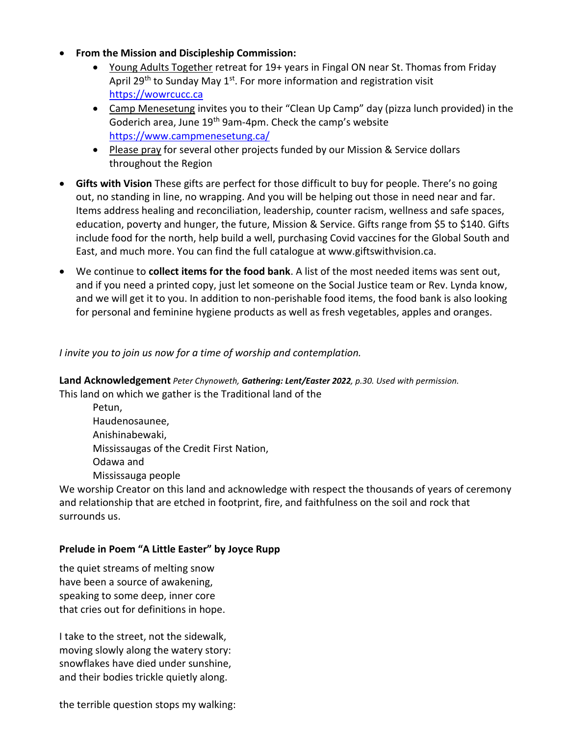- **From the Mission and Discipleship Commission:**
	- Young Adults Together retreat for 19+ years in Fingal ON near St. Thomas from Friday April 29<sup>th</sup> to Sunday May 1<sup>st</sup>. For more information and registration visit [https://wowrcucc.ca](https://wowrcucc.ca/)
	- Camp Menesetung invites you to their "Clean Up Camp" day (pizza lunch provided) in the Goderich area, June 19<sup>th</sup> 9am-4pm. Check the camp's website <https://www.campmenesetung.ca/>
	- Please pray for several other projects funded by our Mission & Service dollars throughout the Region
- **Gifts with Vision** These gifts are perfect for those difficult to buy for people. There's no going out, no standing in line, no wrapping. And you will be helping out those in need near and far. Items address healing and reconciliation, leadership, counter racism, wellness and safe spaces, education, poverty and hunger, the future, Mission & Service. Gifts range from \$5 to \$140. Gifts include food for the north, help build a well, purchasing Covid vaccines for the Global South and East, and much more. You can find the full catalogue at www.giftswithvision.ca.
- We continue to **collect items for the food bank**. A list of the most needed items was sent out, and if you need a printed copy, just let someone on the Social Justice team or Rev. Lynda know, and we will get it to you. In addition to non-perishable food items, the food bank is also looking for personal and feminine hygiene products as well as fresh vegetables, apples and oranges.

## *I invite you to join us now for a time of worship and contemplation.*

**Land Acknowledgement** *Peter Chynoweth, Gathering: Lent/Easter 2022, p.30. Used with permission.* This land on which we gather is the Traditional land of the

Petun, Haudenosaunee, Anishinabewaki, Mississaugas of the Credit First Nation, Odawa and Mississauga people

We worship Creator on this land and acknowledge with respect the thousands of years of ceremony and relationship that are etched in footprint, fire, and faithfulness on the soil and rock that surrounds us.

#### **Prelude in Poem "A Little Easter" by Joyce Rupp**

the quiet streams of melting snow have been a source of awakening, speaking to some deep, inner core that cries out for definitions in hope.

I take to the street, not the sidewalk, moving slowly along the watery story: snowflakes have died under sunshine, and their bodies trickle quietly along.

the terrible question stops my walking: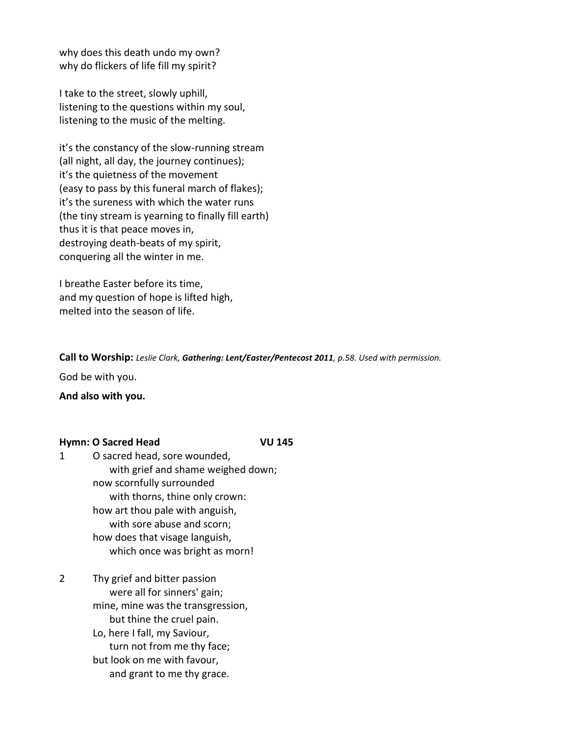why does this death undo my own? why do flickers of life fill my spirit?

I take to the street, slowly uphill, listening to the questions within my soul, listening to the music of the melting.

it's the constancy of the slow-running stream (all night, all day, the journey continues); it's the quietness of the movement (easy to pass by this funeral march of flakes); it's the sureness with which the water runs (the tiny stream is yearning to finally fill earth) thus it is that peace moves in, destroying death-beats of my spirit, conquering all the winter in me.

I breathe Easter before its time, and my question of hope is lifted high, melted into the season of life.

**Call to Worship:** *Leslie Clark, Gathering: Lent/Easter/Pentecost 2011, p.58. Used with permission.*

God be with you.

**And also with you.**

#### **Hymn: O Sacred Head VU 145**

- 1 O sacred head, sore wounded, with grief and shame weighed down; now scornfully surrounded with thorns, thine only crown: how art thou pale with anguish, with sore abuse and scorn; how does that visage languish, which once was bright as morn!
- 2 Thy grief and bitter passion were all for sinners' gain; mine, mine was the transgression, but thine the cruel pain.
	- Lo, here I fall, my Saviour, turn not from me thy face; but look on me with favour,
		- and grant to me thy grace.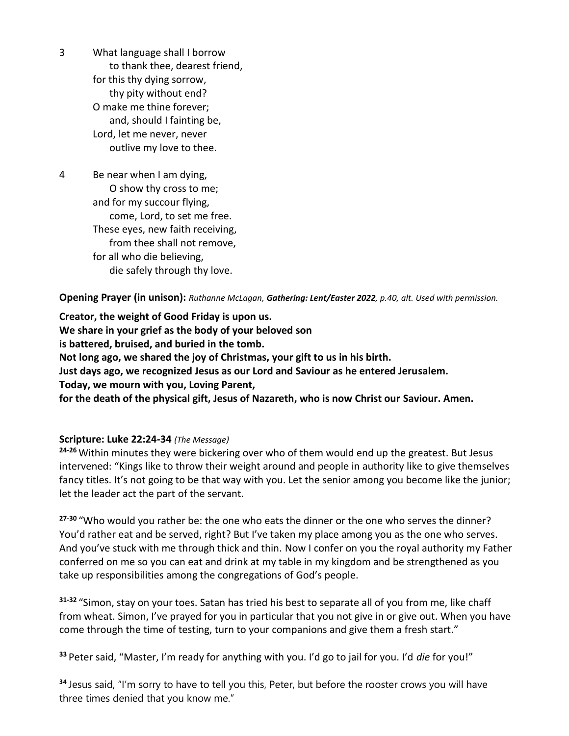3 What language shall I borrow to thank thee, dearest friend, for this thy dying sorrow, thy pity without end? O make me thine forever; and, should I fainting be, Lord, let me never, never outlive my love to thee.

4 Be near when I am dying, O show thy cross to me; and for my succour flying, come, Lord, to set me free. These eyes, new faith receiving, from thee shall not remove, for all who die believing, die safely through thy love.

**Opening Prayer (in unison):** *Ruthanne McLagan, Gathering: Lent/Easter 2022, p.40, alt. Used with permission.*

**Creator, the weight of Good Friday is upon us. We share in your grief as the body of your beloved son is battered, bruised, and buried in the tomb. Not long ago, we shared the joy of Christmas, your gift to us in his birth. Just days ago, we recognized Jesus as our Lord and Saviour as he entered Jerusalem. Today, we mourn with you, Loving Parent, for the death of the physical gift, Jesus of Nazareth, who is now Christ our Saviour. Amen.**

#### **Scripture: Luke 22:24-34** *(The Message)*

**24-26** Within minutes they were bickering over who of them would end up the greatest. But Jesus intervened: "Kings like to throw their weight around and people in authority like to give themselves fancy titles. It's not going to be that way with you. Let the senior among you become like the junior; let the leader act the part of the servant.

**27-30** "Who would you rather be: the one who eats the dinner or the one who serves the dinner? You'd rather eat and be served, right? But I've taken my place among you as the one who serves. And you've stuck with me through thick and thin. Now I confer on you the royal authority my Father conferred on me so you can eat and drink at my table in my kingdom and be strengthened as you take up responsibilities among the congregations of God's people.

**31-32** "Simon, stay on your toes. Satan has tried his best to separate all of you from me, like chaff from wheat. Simon, I've prayed for you in particular that you not give in or give out. When you have come through the time of testing, turn to your companions and give them a fresh start."

**<sup>33</sup>** Peter said, "Master, I'm ready for anything with you. I'd go to jail for you. I'd *die* for you!"

**<sup>34</sup>** Jesus said, "I'm sorry to have to tell you this, Peter, but before the rooster crows you will have three times denied that you know me."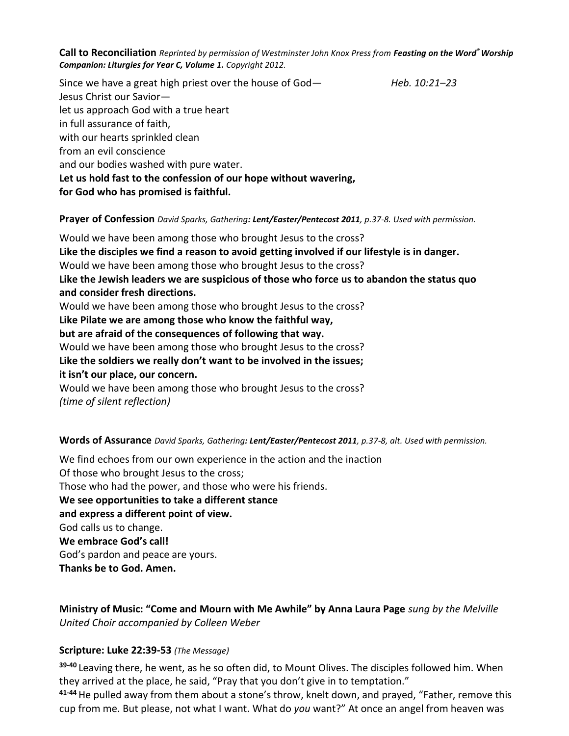**Call to Reconciliation** *Reprinted by permission of Westminster John Knox Press from Feasting on the Word® Worship Companion: Liturgies for Year C, Volume 1. Copyright 2012.*

Since we have a great high priest over the house of God— *Heb. 10:21–23* Jesus Christ our Savior let us approach God with a true heart in full assurance of faith, with our hearts sprinkled clean from an evil conscience and our bodies washed with pure water. **Let us hold fast to the confession of our hope without wavering, for God who has promised is faithful.**

**Prayer of Confession** *David Sparks, Gathering: Lent/Easter/Pentecost 2011, p.37-8. Used with permission.*

Would we have been among those who brought Jesus to the cross? **Like the disciples we find a reason to avoid getting involved if our lifestyle is in danger.** Would we have been among those who brought Jesus to the cross? **Like the Jewish leaders we are suspicious of those who force us to abandon the status quo and consider fresh directions.** Would we have been among those who brought Jesus to the cross? **Like Pilate we are among those who know the faithful way, but are afraid of the consequences of following that way.** Would we have been among those who brought Jesus to the cross? **Like the soldiers we really don't want to be involved in the issues; it isn't our place, our concern.**

Would we have been among those who brought Jesus to the cross? *(time of silent reflection)*

**Words of Assurance** *David Sparks, Gathering: Lent/Easter/Pentecost 2011, p.37-8, alt. Used with permission.*

We find echoes from our own experience in the action and the inaction Of those who brought Jesus to the cross; Those who had the power, and those who were his friends. **We see opportunities to take a different stance and express a different point of view.** God calls us to change. **We embrace God's call!** God's pardon and peace are yours. **Thanks be to God. Amen.**

**Ministry of Music: "Come and Mourn with Me Awhile" by Anna Laura Page** *sung by the Melville United Choir accompanied by Colleen Weber*

#### **Scripture: Luke 22:39-53** *(The Message)*

**39-40** Leaving there, he went, as he so often did, to Mount Olives. The disciples followed him. When they arrived at the place, he said, "Pray that you don't give in to temptation."

**41-44**He pulled away from them about a stone's throw, knelt down, and prayed, "Father, remove this cup from me. But please, not what I want. What do *you* want?" At once an angel from heaven was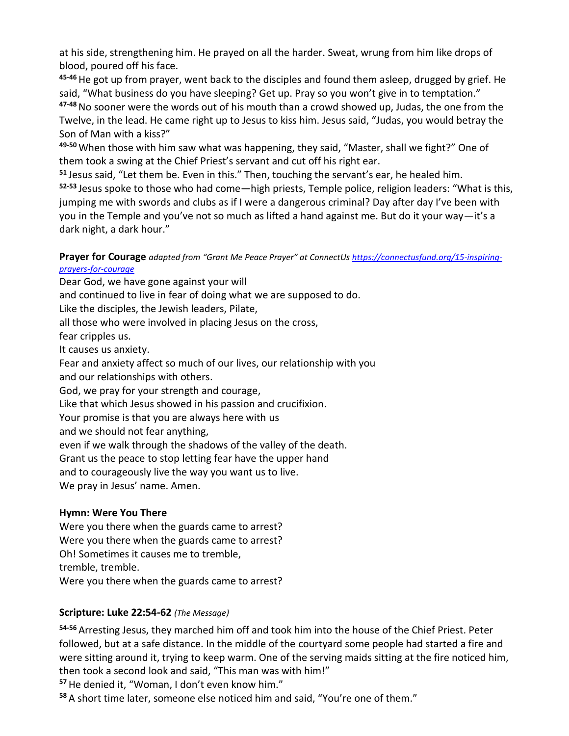at his side, strengthening him. He prayed on all the harder. Sweat, wrung from him like drops of blood, poured off his face.

**45-46**He got up from prayer, went back to the disciples and found them asleep, drugged by grief. He said, "What business do you have sleeping? Get up. Pray so you won't give in to temptation."

**47-48**No sooner were the words out of his mouth than a crowd showed up, Judas, the one from the Twelve, in the lead. He came right up to Jesus to kiss him. Jesus said, "Judas, you would betray the Son of Man with a kiss?"

**49-50** When those with him saw what was happening, they said, "Master, shall we fight?" One of them took a swing at the Chief Priest's servant and cut off his right ear.

**<sup>51</sup>** Jesus said, "Let them be. Even in this." Then, touching the servant's ear, he healed him.

**52-53** Jesus spoke to those who had come—high priests, Temple police, religion leaders: "What is this, jumping me with swords and clubs as if I were a dangerous criminal? Day after day I've been with you in the Temple and you've not so much as lifted a hand against me. But do it your way—it's a dark night, a dark hour."

**Prayer for Courage** *adapted from "Grant Me Peace Prayer" at ConnectUs [https://connectusfund.org/15-inspiring](https://connectusfund.org/15-inspiring-prayers-for-courage)[prayers-for-courage](https://connectusfund.org/15-inspiring-prayers-for-courage)*

Dear God, we have gone against your will

and continued to live in fear of doing what we are supposed to do.

Like the disciples, the Jewish leaders, Pilate,

all those who were involved in placing Jesus on the cross,

fear cripples us.

It causes us anxiety.

Fear and anxiety affect so much of our lives, our relationship with you and our relationships with others.

God, we pray for your strength and courage,

Like that which Jesus showed in his passion and crucifixion.

Your promise is that you are always here with us

and we should not fear anything,

even if we walk through the shadows of the valley of the death.

Grant us the peace to stop letting fear have the upper hand

and to courageously live the way you want us to live.

We pray in Jesus' name. Amen.

# **Hymn: Were You There**

Were you there when the guards came to arrest? Were you there when the guards came to arrest? Oh! Sometimes it causes me to tremble, tremble, tremble. Were you there when the guards came to arrest?

# **Scripture: Luke 22:54-62** *(The Message)*

**54-56** Arresting Jesus, they marched him off and took him into the house of the Chief Priest. Peter followed, but at a safe distance. In the middle of the courtyard some people had started a fire and were sitting around it, trying to keep warm. One of the serving maids sitting at the fire noticed him, then took a second look and said, "This man was with him!"

**<sup>57</sup>**He denied it, "Woman, I don't even know him."

**<sup>58</sup>** A short time later, someone else noticed him and said, "You're one of them."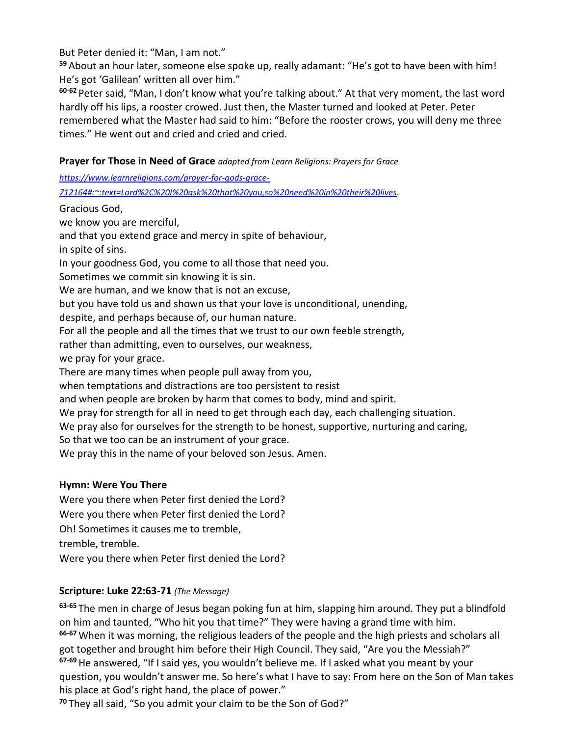But Peter denied it: "Man, I am not."

**<sup>59</sup>** About an hour later, someone else spoke up, really adamant: "He's got to have been with him! He's got 'Galilean' written all over him."

**60-62** Peter said, "Man, I don't know what you're talking about." At that very moment, the last word hardly off his lips, a rooster crowed. Just then, the Master turned and looked at Peter. Peter remembered what the Master had said to him: "Before the rooster crows, you will deny me three times." He went out and cried and cried and cried.

**Prayer for Those in Need of Grace** *adapted from Learn Religions: Prayers for Grace*

*[https://www.learnreligions.com/prayer-for-gods-grace-](https://www.learnreligions.com/prayer-for-gods-grace-712164#:~:text=Lord%2C%20I%20ask%20that%20you,so%20need%20in%20their%20lives)*

*[712164#:~:text=Lord%2C%20I%20ask%20that%20you,so%20need%20in%20their%20lives.](https://www.learnreligions.com/prayer-for-gods-grace-712164#:~:text=Lord%2C%20I%20ask%20that%20you,so%20need%20in%20their%20lives)*

Gracious God,

we know you are merciful,

and that you extend grace and mercy in spite of behaviour,

in spite of sins.

In your goodness God, you come to all those that need you.

Sometimes we commit sin knowing it is sin.

We are human, and we know that is not an excuse,

but you have told us and shown us that your love is unconditional, unending,

despite, and perhaps because of, our human nature.

For all the people and all the times that we trust to our own feeble strength,

rather than admitting, even to ourselves, our weakness,

we pray for your grace.

There are many times when people pull away from you,

when temptations and distractions are too persistent to resist

and when people are broken by harm that comes to body, mind and spirit.

We pray for strength for all in need to get through each day, each challenging situation.

We pray also for ourselves for the strength to be honest, supportive, nurturing and caring,

So that we too can be an instrument of your grace.

We pray this in the name of your beloved son Jesus. Amen.

# **Hymn: Were You There**

Were you there when Peter first denied the Lord? Were you there when Peter first denied the Lord? Oh! Sometimes it causes me to tremble, tremble, tremble. Were you there when Peter first denied the Lord?

# **Scripture: Luke 22:63-71** *(The Message)*

**63-65** The men in charge of Jesus began poking fun at him, slapping him around. They put a blindfold on him and taunted, "Who hit you that time?" They were having a grand time with him. **66-67** When it was morning, the religious leaders of the people and the high priests and scholars all got together and brought him before their High Council. They said, "Are you the Messiah?" **67-69**He answered, "If I said yes, you wouldn't believe me. If I asked what you meant by your question, you wouldn't answer me. So here's what I have to say: From here on the Son of Man takes his place at God's right hand, the place of power."

**<sup>70</sup>** They all said, "So you admit your claim to be the Son of God?"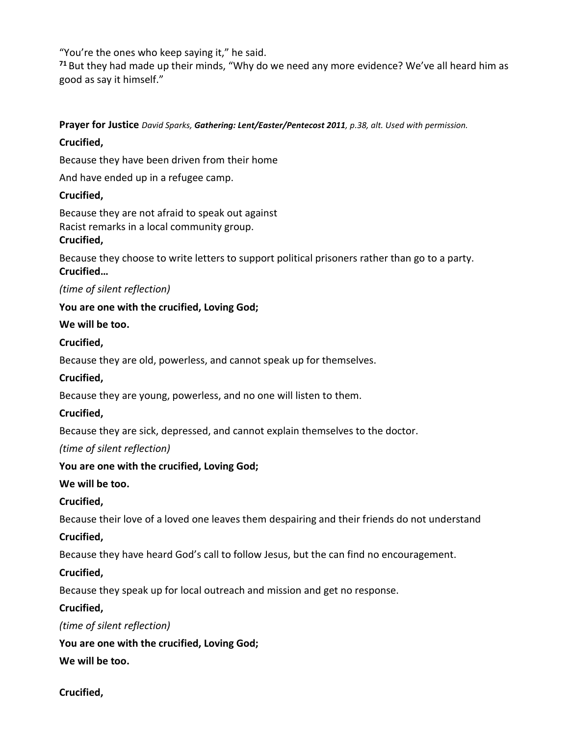"You're the ones who keep saying it," he said.

**<sup>71</sup>** But they had made up their minds, "Why do we need any more evidence? We've all heard him as good as say it himself."

# **Prayer for Justice** *David Sparks, Gathering: Lent/Easter/Pentecost 2011, p.38, alt. Used with permission.* **Crucified,**

Because they have been driven from their home

And have ended up in a refugee camp.

# **Crucified,**

Because they are not afraid to speak out against Racist remarks in a local community group.

# **Crucified,**

Because they choose to write letters to support political prisoners rather than go to a party. **Crucified…**

*(time of silent reflection)*

**You are one with the crucified, Loving God;**

## **We will be too.**

## **Crucified,**

Because they are old, powerless, and cannot speak up for themselves.

# **Crucified,**

Because they are young, powerless, and no one will listen to them.

# **Crucified,**

Because they are sick, depressed, and cannot explain themselves to the doctor.

# *(time of silent reflection)*

# **You are one with the crucified, Loving God;**

## **We will be too.**

# **Crucified,**

Because their love of a loved one leaves them despairing and their friends do not understand

# **Crucified,**

Because they have heard God's call to follow Jesus, but the can find no encouragement.

# **Crucified,**

Because they speak up for local outreach and mission and get no response.

# **Crucified,**

*(time of silent reflection)*

**You are one with the crucified, Loving God;**

# **We will be too.**

**Crucified,**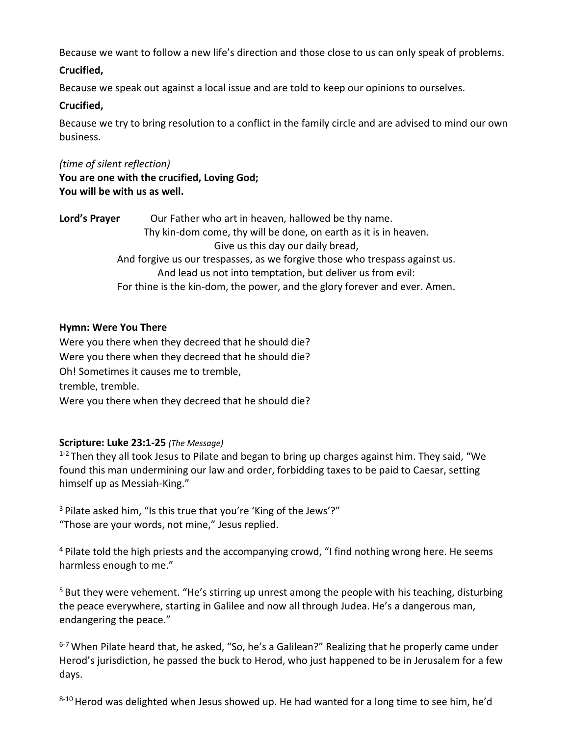Because we want to follow a new life's direction and those close to us can only speak of problems.

#### **Crucified,**

Because we speak out against a local issue and are told to keep our opinions to ourselves.

#### **Crucified,**

Because we try to bring resolution to a conflict in the family circle and are advised to mind our own business.

*(time of silent reflection)* **You are one with the crucified, Loving God; You will be with us as well.**

| Lord's Prayer                                                               | Our Father who art in heaven, hallowed be thy name.                        |  |
|-----------------------------------------------------------------------------|----------------------------------------------------------------------------|--|
|                                                                             | Thy kin-dom come, thy will be done, on earth as it is in heaven.           |  |
|                                                                             | Give us this day our daily bread,                                          |  |
| And forgive us our trespasses, as we forgive those who trespass against us. |                                                                            |  |
|                                                                             | And lead us not into temptation, but deliver us from evil:                 |  |
|                                                                             | For thine is the kin-dom, the power, and the glory forever and ever. Amen. |  |

#### **Hymn: Were You There**

Were you there when they decreed that he should die? Were you there when they decreed that he should die? Oh! Sometimes it causes me to tremble, tremble, tremble. Were you there when they decreed that he should die?

## **Scripture: Luke 23:1-25** *(The Message)*

 $1-2$  Then they all took Jesus to Pilate and began to bring up charges against him. They said, "We found this man undermining our law and order, forbidding taxes to be paid to Caesar, setting himself up as Messiah-King."

<sup>3</sup> Pilate asked him, "Is this true that you're 'King of the Jews'?" "Those are your words, not mine," Jesus replied.

<sup>4</sup> Pilate told the high priests and the accompanying crowd, "I find nothing wrong here. He seems harmless enough to me."

<sup>5</sup> But they were vehement. "He's stirring up unrest among the people with his teaching, disturbing the peace everywhere, starting in Galilee and now all through Judea. He's a dangerous man, endangering the peace."

 $6-7$  When Pilate heard that, he asked, "So, he's a Galilean?" Realizing that he properly came under Herod's jurisdiction, he passed the buck to Herod, who just happened to be in Jerusalem for a few days.

8-10 Herod was delighted when Jesus showed up. He had wanted for a long time to see him, he'd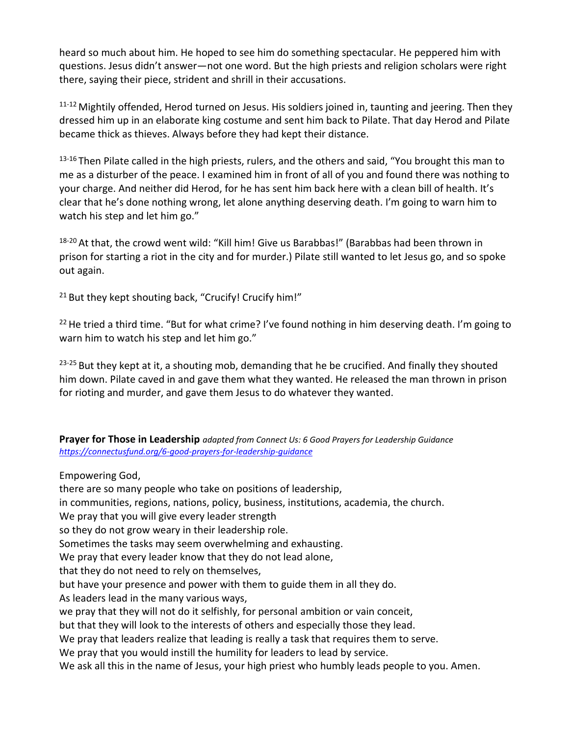heard so much about him. He hoped to see him do something spectacular. He peppered him with questions. Jesus didn't answer—not one word. But the high priests and religion scholars were right there, saying their piece, strident and shrill in their accusations.

11-12 Mightily offended, Herod turned on Jesus. His soldiers joined in, taunting and jeering. Then they dressed him up in an elaborate king costume and sent him back to Pilate. That day Herod and Pilate became thick as thieves. Always before they had kept their distance.

 $13-16$  Then Pilate called in the high priests, rulers, and the others and said, "You brought this man to me as a disturber of the peace. I examined him in front of all of you and found there was nothing to your charge. And neither did Herod, for he has sent him back here with a clean bill of health. It's clear that he's done nothing wrong, let alone anything deserving death. I'm going to warn him to watch his step and let him go."

<sup>18-20</sup> At that, the crowd went wild: "Kill him! Give us Barabbas!" (Barabbas had been thrown in prison for starting a riot in the city and for murder.) Pilate still wanted to let Jesus go, and so spoke out again.

 $21$  But they kept shouting back, "Crucify! Crucify him!"

 $22$  He tried a third time. "But for what crime? I've found nothing in him deserving death. I'm going to warn him to watch his step and let him go."

23-25 But they kept at it, a shouting mob, demanding that he be crucified. And finally they shouted him down. Pilate caved in and gave them what they wanted. He released the man thrown in prison for rioting and murder, and gave them Jesus to do whatever they wanted.

**Prayer for Those in Leadership** *adapted from Connect Us: 6 Good Prayers for Leadership Guidance <https://connectusfund.org/6-good-prayers-for-leadership-guidance>*

Empowering God,

there are so many people who take on positions of leadership,

in communities, regions, nations, policy, business, institutions, academia, the church.

We pray that you will give every leader strength

so they do not grow weary in their leadership role.

Sometimes the tasks may seem overwhelming and exhausting.

We pray that every leader know that they do not lead alone,

that they do not need to rely on themselves,

but have your presence and power with them to guide them in all they do.

As leaders lead in the many various ways,

we pray that they will not do it selfishly, for personal ambition or vain conceit,

but that they will look to the interests of others and especially those they lead.

We pray that leaders realize that leading is really a task that requires them to serve.

We pray that you would instill the humility for leaders to lead by service.

We ask all this in the name of Jesus, your high priest who humbly leads people to you. Amen.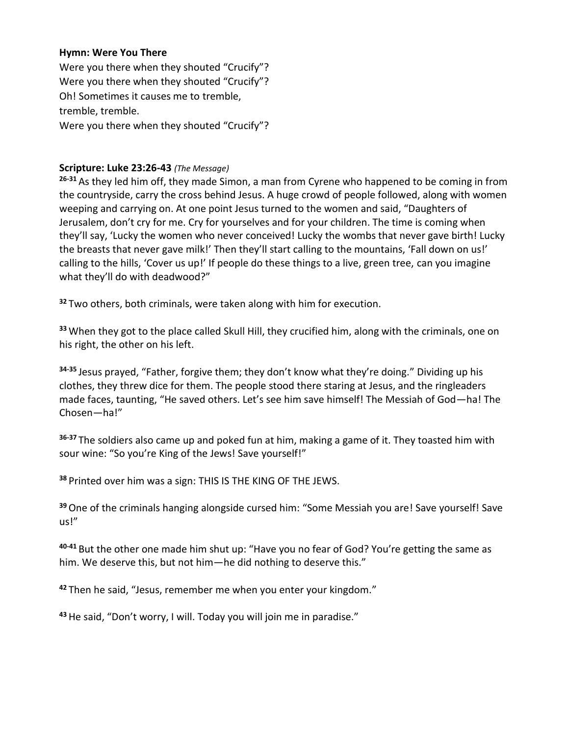#### **Hymn: Were You There**

Were you there when they shouted "Crucify"? Were you there when they shouted "Crucify"? Oh! Sometimes it causes me to tremble, tremble, tremble. Were you there when they shouted "Crucify"?

#### **Scripture: Luke 23:26-43** *(The Message)*

**26-31** As they led him off, they made Simon, a man from Cyrene who happened to be coming in from the countryside, carry the cross behind Jesus. A huge crowd of people followed, along with women weeping and carrying on. At one point Jesus turned to the women and said, "Daughters of Jerusalem, don't cry for me. Cry for yourselves and for your children. The time is coming when they'll say, 'Lucky the women who never conceived! Lucky the wombs that never gave birth! Lucky the breasts that never gave milk!' Then they'll start calling to the mountains, 'Fall down on us!' calling to the hills, 'Cover us up!' If people do these things to a live, green tree, can you imagine what they'll do with deadwood?"

**<sup>32</sup>** Two others, both criminals, were taken along with him for execution.

**<sup>33</sup>** When they got to the place called Skull Hill, they crucified him, along with the criminals, one on his right, the other on his left.

**34-35** Jesus prayed, "Father, forgive them; they don't know what they're doing." Dividing up his clothes, they threw dice for them. The people stood there staring at Jesus, and the ringleaders made faces, taunting, "He saved others. Let's see him save himself! The Messiah of God—ha! The Chosen—ha!"

**36-37** The soldiers also came up and poked fun at him, making a game of it. They toasted him with sour wine: "So you're King of the Jews! Save yourself!"

**<sup>38</sup>** Printed over him was a sign: THIS IS THE KING OF THE JEWS.

**<sup>39</sup>**One of the criminals hanging alongside cursed him: "Some Messiah you are! Save yourself! Save us!"

**40-41** But the other one made him shut up: "Have you no fear of God? You're getting the same as him. We deserve this, but not him—he did nothing to deserve this."

**<sup>42</sup>** Then he said, "Jesus, remember me when you enter your kingdom."

**43**He said, "Don't worry, I will. Today you will join me in paradise."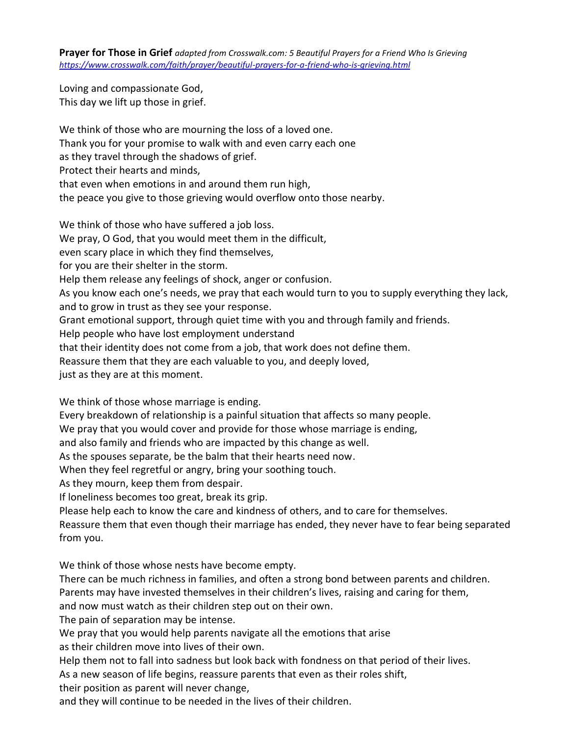**Prayer for Those in Grief** *adapted from Crosswalk.com: 5 Beautiful Prayers for a Friend Who Is Grieving <https://www.crosswalk.com/faith/prayer/beautiful-prayers-for-a-friend-who-is-grieving.html>*

Loving and compassionate God, This day we lift up those in grief.

We think of those who are mourning the loss of a loved one. Thank you for your promise to walk with and even carry each one as they travel through the shadows of grief. Protect their hearts and minds, that even when emotions in and around them run high, the peace you give to those grieving would overflow onto those nearby. We think of those who have suffered a job loss.

We pray, O God, that you would meet them in the difficult,

even scary place in which they find themselves,

for you are their shelter in the storm.

Help them release any feelings of shock, anger or confusion.

As you know each one's needs, we pray that each would turn to you to supply everything they lack,

and to grow in trust as they see your response.

Grant emotional support, through quiet time with you and through family and friends.

Help people who have lost employment understand

that their identity does not come from a job, that work does not define them.

Reassure them that they are each valuable to you, and deeply loved,

just as they are at this moment.

We think of those whose marriage is ending.

Every breakdown of relationship is a painful situation that affects so many people.

We pray that you would cover and provide for those whose marriage is ending,

and also family and friends who are impacted by this change as well.

As the spouses separate, be the balm that their hearts need now.

When they feel regretful or angry, bring your soothing touch.

As they mourn, keep them from despair.

If loneliness becomes too great, break its grip.

Please help each to know the care and kindness of others, and to care for themselves.

Reassure them that even though their marriage has ended, they never have to fear being separated from you.

We think of those whose nests have become empty.

There can be much richness in families, and often a strong bond between parents and children.

Parents may have invested themselves in their children's lives, raising and caring for them,

and now must watch as their children step out on their own.

The pain of separation may be intense.

We pray that you would help parents navigate all the emotions that arise

as their children move into lives of their own.

Help them not to fall into sadness but look back with fondness on that period of their lives.

As a new season of life begins, reassure parents that even as their roles shift,

their position as parent will never change,

and they will continue to be needed in the lives of their children.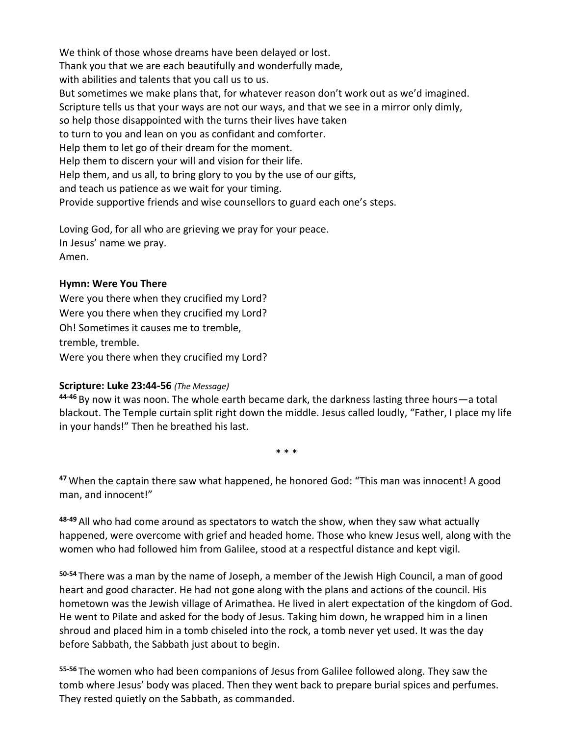We think of those whose dreams have been delayed or lost. Thank you that we are each beautifully and wonderfully made, with abilities and talents that you call us to us. But sometimes we make plans that, for whatever reason don't work out as we'd imagined. Scripture tells us that your ways are not our ways, and that we see in a mirror only dimly, so help those disappointed with the turns their lives have taken to turn to you and lean on you as confidant and comforter. Help them to let go of their dream for the moment. Help them to discern your will and vision for their life. Help them, and us all, to bring glory to you by the use of our gifts, and teach us patience as we wait for your timing. Provide supportive friends and wise counsellors to guard each one's steps.

Loving God, for all who are grieving we pray for your peace. In Jesus' name we pray. Amen.

#### **Hymn: Were You There**

Were you there when they crucified my Lord? Were you there when they crucified my Lord? Oh! Sometimes it causes me to tremble, tremble, tremble. Were you there when they crucified my Lord?

#### **Scripture: Luke 23:44-56** *(The Message)*

**44-46** By now it was noon. The whole earth became dark, the darkness lasting three hours—a total blackout. The Temple curtain split right down the middle. Jesus called loudly, "Father, I place my life in your hands!" Then he breathed his last.

\* \* \*

**<sup>47</sup>** When the captain there saw what happened, he honored God: "This man was innocent! A good man, and innocent!"

**48-49** All who had come around as spectators to watch the show, when they saw what actually happened, were overcome with grief and headed home. Those who knew Jesus well, along with the women who had followed him from Galilee, stood at a respectful distance and kept vigil.

**50-54** There was a man by the name of Joseph, a member of the Jewish High Council, a man of good heart and good character. He had not gone along with the plans and actions of the council. His hometown was the Jewish village of Arimathea. He lived in alert expectation of the kingdom of God. He went to Pilate and asked for the body of Jesus. Taking him down, he wrapped him in a linen shroud and placed him in a tomb chiseled into the rock, a tomb never yet used. It was the day before Sabbath, the Sabbath just about to begin.

**55-56** The women who had been companions of Jesus from Galilee followed along. They saw the tomb where Jesus' body was placed. Then they went back to prepare burial spices and perfumes. They rested quietly on the Sabbath, as commanded.